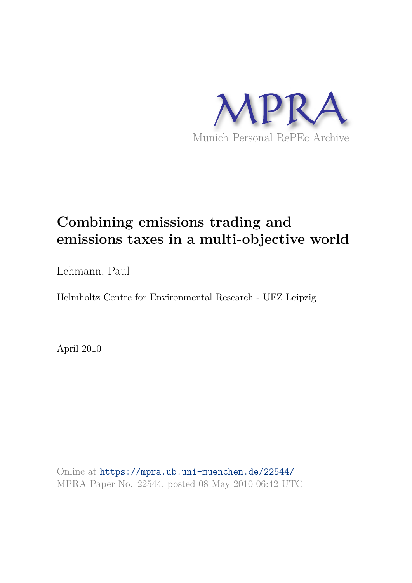

## **Combining emissions trading and emissions taxes in a multi-objective world**

Lehmann, Paul

Helmholtz Centre for Environmental Research - UFZ Leipzig

April 2010

Online at https://mpra.ub.uni-muenchen.de/22544/ MPRA Paper No. 22544, posted 08 May 2010 06:42 UTC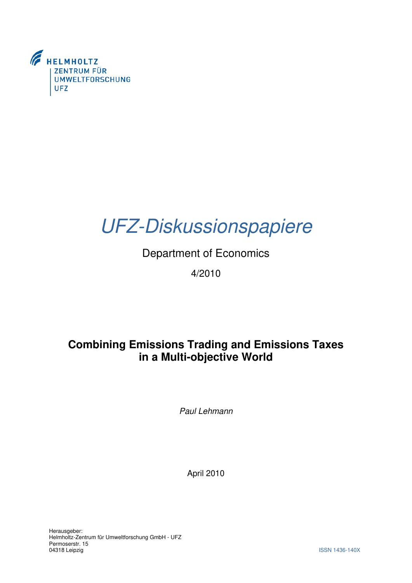

# UFZ-Diskussionspapiere

## Department of Economics

4/2010

### **Combining Emissions Trading and Emissions Taxes in a Multi-objective World**

Paul Lehmann

April 2010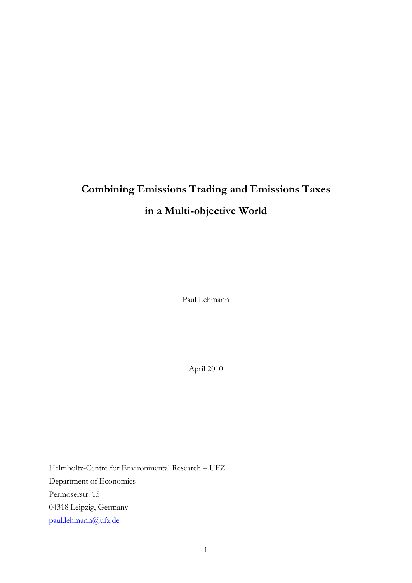## **Combining Emissions Trading and Emissions Taxes in a Multi-objective World**

Paul Lehmann

April 2010

Helmholtz-Centre for Environmental Research – UFZ Department of Economics Permoserstr. 15 04318 Leipzig, Germany [paul.lehmann@ufz.de](mailto:paul.lehmann@ufz.de)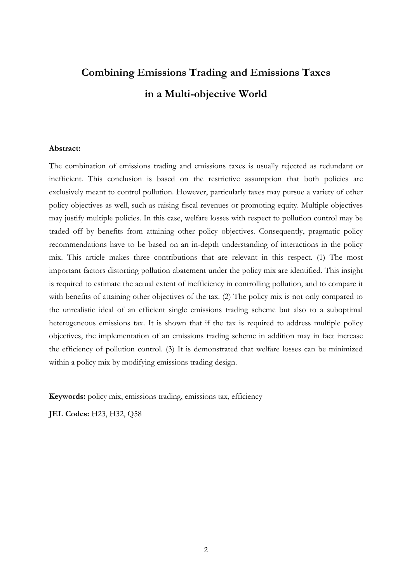## **Combining Emissions Trading and Emissions Taxes in a Multi-objective World**

#### **Abstract:**

The combination of emissions trading and emissions taxes is usually rejected as redundant or inefficient. This conclusion is based on the restrictive assumption that both policies are exclusively meant to control pollution. However, particularly taxes may pursue a variety of other policy objectives as well, such as raising fiscal revenues or promoting equity. Multiple objectives may justify multiple policies. In this case, welfare losses with respect to pollution control may be traded off by benefits from attaining other policy objectives. Consequently, pragmatic policy recommendations have to be based on an in-depth understanding of interactions in the policy mix. This article makes three contributions that are relevant in this respect. (1) The most important factors distorting pollution abatement under the policy mix are identified. This insight is required to estimate the actual extent of inefficiency in controlling pollution, and to compare it with benefits of attaining other objectives of the tax. (2) The policy mix is not only compared to the unrealistic ideal of an efficient single emissions trading scheme but also to a suboptimal heterogeneous emissions tax. It is shown that if the tax is required to address multiple policy objectives, the implementation of an emissions trading scheme in addition may in fact increase the efficiency of pollution control. (3) It is demonstrated that welfare losses can be minimized within a policy mix by modifying emissions trading design.

**Keywords:** policy mix, emissions trading, emissions tax, efficiency

**JEL Codes:** H23, H32, Q58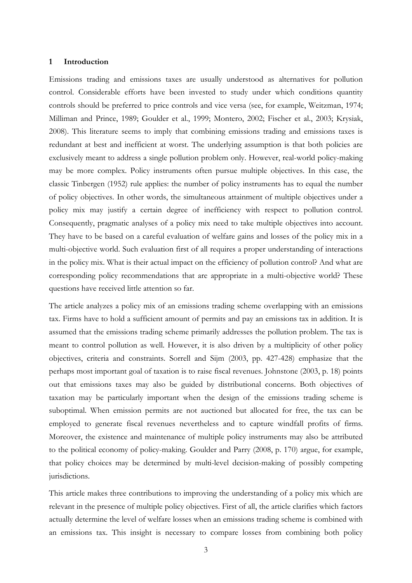#### **1 Introduction**

Emissions trading and emissions taxes are usually understood as alternatives for pollution control. Considerable efforts have been invested to study under which conditions quantity controls should be preferred to price controls and vice versa (see, for example, Weitzman, 1974; Milliman and Prince, 1989; Goulder et al., 1999; Montero, 2002; Fischer et al., 2003; Krysiak, 2008). This literature seems to imply that combining emissions trading and emissions taxes is redundant at best and inefficient at worst. The underlying assumption is that both policies are exclusively meant to address a single pollution problem only. However, real-world policy-making may be more complex. Policy instruments often pursue multiple objectives. In this case, the classic Tinbergen (1952) rule applies: the number of policy instruments has to equal the number of policy objectives. In other words, the simultaneous attainment of multiple objectives under a policy mix may justify a certain degree of inefficiency with respect to pollution control. Consequently, pragmatic analyses of a policy mix need to take multiple objectives into account. They have to be based on a careful evaluation of welfare gains and losses of the policy mix in a multi-objective world. Such evaluation first of all requires a proper understanding of interactions in the policy mix. What is their actual impact on the efficiency of pollution control? And what are corresponding policy recommendations that are appropriate in a multi-objective world? These questions have received little attention so far.

The article analyzes a policy mix of an emissions trading scheme overlapping with an emissions tax. Firms have to hold a sufficient amount of permits and pay an emissions tax in addition. It is assumed that the emissions trading scheme primarily addresses the pollution problem. The tax is meant to control pollution as well. However, it is also driven by a multiplicity of other policy objectives, criteria and constraints. Sorrell and Sijm (2003, pp. 427-428) emphasize that the perhaps most important goal of taxation is to raise fiscal revenues. Johnstone (2003, p. 18) points out that emissions taxes may also be guided by distributional concerns. Both objectives of taxation may be particularly important when the design of the emissions trading scheme is suboptimal. When emission permits are not auctioned but allocated for free, the tax can be employed to generate fiscal revenues nevertheless and to capture windfall profits of firms. Moreover, the existence and maintenance of multiple policy instruments may also be attributed to the political economy of policy-making. Goulder and Parry (2008, p. 170) argue, for example, that policy choices may be determined by multi-level decision-making of possibly competing jurisdictions.

This article makes three contributions to improving the understanding of a policy mix which are relevant in the presence of multiple policy objectives. First of all, the article clarifies which factors actually determine the level of welfare losses when an emissions trading scheme is combined with an emissions tax. This insight is necessary to compare losses from combining both policy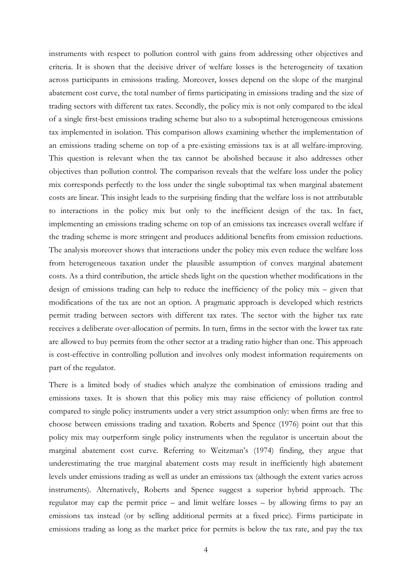instruments with respect to pollution control with gains from addressing other objectives and criteria. It is shown that the decisive driver of welfare losses is the heterogeneity of taxation across participants in emissions trading. Moreover, losses depend on the slope of the marginal abatement cost curve, the total number of firms participating in emissions trading and the size of trading sectors with different tax rates. Secondly, the policy mix is not only compared to the ideal of a single first-best emissions trading scheme but also to a suboptimal heterogeneous emissions tax implemented in isolation. This comparison allows examining whether the implementation of an emissions trading scheme on top of a pre-existing emissions tax is at all welfare-improving. This question is relevant when the tax cannot be abolished because it also addresses other objectives than pollution control. The comparison reveals that the welfare loss under the policy mix corresponds perfectly to the loss under the single suboptimal tax when marginal abatement costs are linear. This insight leads to the surprising finding that the welfare loss is not attributable to interactions in the policy mix but only to the inefficient design of the tax. In fact, implementing an emissions trading scheme on top of an emissions tax increases overall welfare if the trading scheme is more stringent and produces additional benefits from emission reductions. The analysis moreover shows that interactions under the policy mix even reduce the welfare loss from heterogeneous taxation under the plausible assumption of convex marginal abatement costs. As a third contribution, the article sheds light on the question whether modifications in the design of emissions trading can help to reduce the inefficiency of the policy mix – given that modifications of the tax are not an option. A pragmatic approach is developed which restricts permit trading between sectors with different tax rates. The sector with the higher tax rate receives a deliberate over-allocation of permits. In turn, firms in the sector with the lower tax rate are allowed to buy permits from the other sector at a trading ratio higher than one. This approach is cost-effective in controlling pollution and involves only modest information requirements on part of the regulator.

There is a limited body of studies which analyze the combination of emissions trading and emissions taxes. It is shown that this policy mix may raise efficiency of pollution control compared to single policy instruments under a very strict assumption only: when firms are free to choose between emissions trading and taxation. Roberts and Spence (1976) point out that this policy mix may outperform single policy instruments when the regulator is uncertain about the marginal abatement cost curve. Referring to Weitzman's (1974) finding, they argue that underestimating the true marginal abatement costs may result in inefficiently high abatement levels under emissions trading as well as under an emissions tax (although the extent varies across instruments). Alternatively, Roberts and Spence suggest a superior hybrid approach. The regulator may cap the permit price – and limit welfare losses – by allowing firms to pay an emissions tax instead (or by selling additional permits at a fixed price). Firms participate in emissions trading as long as the market price for permits is below the tax rate, and pay the tax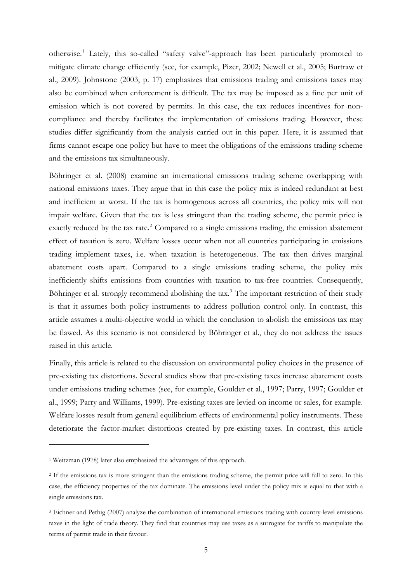otherwise.<sup>[1](#page-6-0)</sup> Lately, this so-called "safety valve"-approach has been particularly promoted to mitigate climate change efficiently (see, for example, Pizer, 2002; Newell et al., 2005; Burtraw et al., 2009). Johnstone (2003, p. 17) emphasizes that emissions trading and emissions taxes may also be combined when enforcement is difficult. The tax may be imposed as a fine per unit of emission which is not covered by permits. In this case, the tax reduces incentives for noncompliance and thereby facilitates the implementation of emissions trading. However, these studies differ significantly from the analysis carried out in this paper. Here, it is assumed that firms cannot escape one policy but have to meet the obligations of the emissions trading scheme and the emissions tax simultaneously.

Böhringer et al. (2008) examine an international emissions trading scheme overlapping with national emissions taxes. They argue that in this case the policy mix is indeed redundant at best and inefficient at worst. If the tax is homogenous across all countries, the policy mix will not impair welfare. Given that the tax is less stringent than the trading scheme, the permit price is exactly reduced by the tax rate.<sup>[2](#page-6-1)</sup> Compared to a single emissions trading, the emission abatement effect of taxation is zero. Welfare losses occur when not all countries participating in emissions trading implement taxes, i.e. when taxation is heterogeneous. The tax then drives marginal abatement costs apart. Compared to a single emissions trading scheme, the policy mix inefficiently shifts emissions from countries with taxation to tax-free countries. Consequently, Böhringer et al. strongly recommend abolishing the tax.<sup>[3](#page-6-2)</sup> The important restriction of their study is that it assumes both policy instruments to address pollution control only. In contrast, this article assumes a multi-objective world in which the conclusion to abolish the emissions tax may be flawed. As this scenario is not considered by Böhringer et al., they do not address the issues raised in this article.

Finally, this article is related to the discussion on environmental policy choices in the presence of pre-existing tax distortions. Several studies show that pre-existing taxes increase abatement costs under emissions trading schemes (see, for example, Goulder et al., 1997; Parry, 1997; Goulder et al., 1999; Parry and Williams, 1999). Pre-existing taxes are levied on income or sales, for example. Welfare losses result from general equilibrium effects of environmental policy instruments. These deteriorate the factor-market distortions created by pre-existing taxes. In contrast, this article

-

<span id="page-6-0"></span><sup>&</sup>lt;sup>1</sup> Weitzman (1978) later also emphasized the advantages of this approach.

<span id="page-6-1"></span><sup>2</sup> If the emissions tax is more stringent than the emissions trading scheme, the permit price will fall to zero. In this case, the efficiency properties of the tax dominate. The emissions level under the policy mix is equal to that with a single emissions tax.

<span id="page-6-2"></span><sup>3</sup> Eichner and Pethig (2007) analyze the combination of international emissions trading with country-level emissions taxes in the light of trade theory. They find that countries may use taxes as a surrogate for tariffs to manipulate the terms of permit trade in their favour.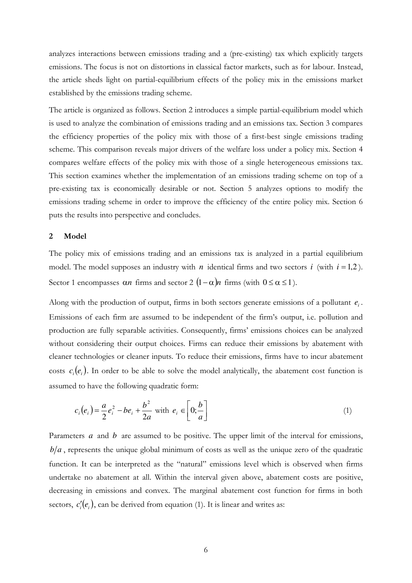analyzes interactions between emissions trading and a (pre-existing) tax which explicitly targets emissions. The focus is not on distortions in classical factor markets, such as for labour. Instead, the article sheds light on partial-equilibrium effects of the policy mix in the emissions market established by the emissions trading scheme.

The article is organized as follows. Section 2 introduces a simple partial-equilibrium model which is used to analyze the combination of emissions trading and an emissions tax. Section 3 compares the efficiency properties of the policy mix with those of a first-best single emissions trading scheme. This comparison reveals major drivers of the welfare loss under a policy mix. Section 4 compares welfare effects of the policy mix with those of a single heterogeneous emissions tax. This section examines whether the implementation of an emissions trading scheme on top of a pre-existing tax is economically desirable or not. Section 5 analyzes options to modify the emissions trading scheme in order to improve the efficiency of the entire policy mix. Section 6 puts the results into perspective and concludes.

#### **2 Model**

The policy mix of emissions trading and an emissions tax is analyzed in a partial equilibrium model. The model supposes an industry with *n* identical firms and two sectors *i* (with  $i = 1,2$ ). Sector 1 encompasses  $\alpha n$  firms and sector 2  $(1-\alpha)n$  firms (with  $0 \le \alpha \le 1$ ).

Along with the production of output, firms in both sectors generate emissions of a pollutant  $e_i$ . Emissions of each firm are assumed to be independent of the firm's output, i.e. pollution and production are fully separable activities. Consequently, firms' emissions choices can be analyzed without considering their output choices. Firms can reduce their emissions by abatement with cleaner technologies or cleaner inputs. To reduce their emissions, firms have to incur abatement costs  $c_i(e_i)$ . In order to be able to solve the model analytically, the abatement cost function is assumed to have the following quadratic form:

$$
c_i(e_i) = \frac{a}{2}e_i^2 - be_i + \frac{b^2}{2a} \text{ with } e_i \in \left[0; \frac{b}{a}\right]
$$
 (1)

Parameters *a* and *b* are assumed to be positive. The upper limit of the interval for emissions,  $b/a$ , represents the unique global minimum of costs as well as the unique zero of the quadratic function. It can be interpreted as the "natural" emissions level which is observed when firms undertake no abatement at all. Within the interval given above, abatement costs are positive, decreasing in emissions and convex. The marginal abatement cost function for firms in both sectors,  $c_i'(e_i)$ , can be derived from equation (1). It is linear and writes as: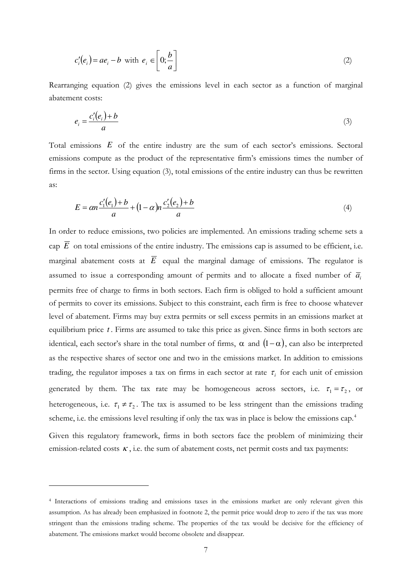<span id="page-8-0"></span>
$$
c_i'(e_i) = ae_i - b \text{ with } e_i \in \left[0; \frac{b}{a}\right]
$$
 (2)

Rearranging equation (2) gives the emissions level in each sector as a function of marginal abatement costs:

$$
e_i = \frac{c_i'(e_i) + b}{a} \tag{3}
$$

Total emissions *E* of the entire industry are the sum of each sector's emissions. Sectoral emissions compute as the product of the representative firm's emissions times the number of firms in the sector. Using equation (3), total emissions of the entire industry can thus be rewritten as:

$$
E = \alpha n \frac{c_1'(e_1) + b}{a} + (1 - \alpha) n \frac{c_2'(e_2) + b}{a}
$$
 (4)

In order to reduce emissions, two policies are implemented. An emissions trading scheme sets a cap  $\overline{E}$  on total emissions of the entire industry. The emissions cap is assumed to be efficient, i.e. marginal abatement costs at  $\overline{E}$  equal the marginal damage of emissions. The regulator is assumed to issue a corresponding amount of permits and to allocate a fixed number of  $\overline{a}$ , permits free of charge to firms in both sectors. Each firm is obliged to hold a sufficient amount of permits to cover its emissions. Subject to this constraint, each firm is free to choose whatever level of abatement. Firms may buy extra permits or sell excess permits in an emissions market at equilibrium price *t* . Firms are assumed to take this price as given. Since firms in both sectors are identical, each sector's share in the total number of firms,  $\alpha$  and  $(1-\alpha)$ , can also be interpreted *i* trading, the regulator imposes a tax on firms in each sector at rate  $\tau$ <sub>i</sub> for each unit of emission as the respective shares of sector one and two in the emissions market. In addition to emissions generated by them. The tax rate may be homogeneous across sectors, i.e.  $\tau_1 = \tau_2$ , or heterogeneous, i.e.  $\tau_1 \neq \tau_2$ . The tax is assumed to be less stringent than the emissions trading scheme, i.e. the emissions level resulting if only the tax was in place is below the emissions cap.<sup>[4](#page-8-0)</sup>

Given this regulatory framework, firms in both sectors face the problem of minimizing their emission-related costs  $\kappa$ , i.e. the sum of abatement costs, net permit costs and tax payments:

-

<sup>4</sup> Interactions of emissions trading and emissions taxes in the emissions market are only relevant given this assumption. As has already been emphasized in footnote 2, the permit price would drop to zero if the tax was more stringent than the emissions trading scheme. The properties of the tax would be decisive for the efficiency of abatement. The emissions market would become obsolete and disappear.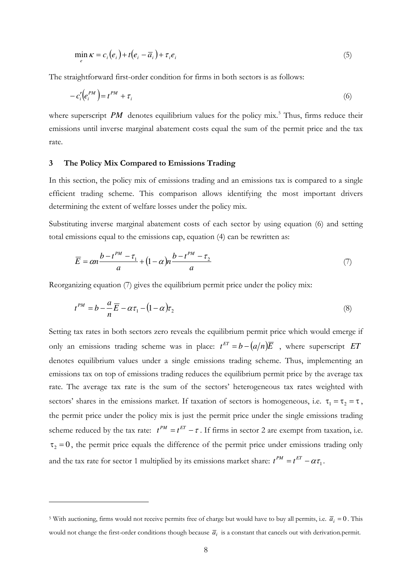$$
\min_{e} \kappa = c_i \left( e_i \right) + t \left( e_i - \overline{a}_i \right) + \tau_i e_i \tag{5}
$$

<span id="page-9-0"></span>The straightforward first-order condition for firms in both sectors is as follows:

$$
-c_i'(e_i^{PM}) = t^{PM} + \tau_i
$$
\n<sup>(6)</sup>

where superscript PM denotes equilibrium values for the policy mix.<sup>[5](#page-9-0)</sup> Thus, firms reduce their emissions until inverse marginal abatement costs equal the sum of the permit price and the tax rate.

#### **3 The Policy Mix Compared to Emissions Trading**

-

In this section, the policy mix of emissions trading and an emissions tax is compared to a single efficient trading scheme. This comparison allows identifying the most important drivers determining the extent of welfare losses under the policy mix.

Substituting inverse marginal abatement costs of each sector by using equation (6) and setting total emissions equal to the emissions cap, equation (4) can be rewritten as:

$$
\overline{E} = \alpha n \frac{b - t^{PM} - \tau_1}{a} + (1 - \alpha) n \frac{b - t^{PM} - \tau_2}{a}
$$
\n<sup>(7)</sup>

Reorganizing equation (7) gives the equilibrium permit price under the policy mix:

$$
t^{PM} = b - \frac{a}{n}\overline{E} - \alpha \tau_1 - (1 - \alpha)\tau_2 \tag{8}
$$

Setting tax rates in both sectors zero reveals the equilibrium permit price which would emerge if only an emissions trading scheme was in place:  $t^{ET} = b - (a/n)\overline{E}$ , where superscript *ET* denotes equilibrium values under a single emissions trading scheme. Thus, implementing an emissions tax on top of emissions trading reduces the equilibrium permit price by the average tax rate. The average tax rate is the sum of the sectors' heterogeneous tax rates weighted with sectors' shares in the emissions market. If taxation of sectors is homogeneous, i.e.  $\tau_1 = \tau_2 = \tau$ , the permit price under the policy mix is just the permit price under the single emissions trading scheme reduced by the tax rate:  $t^{PM} = t^{ET} - \tau$ . If firms in sector 2 are exempt from taxation, i.e.  $\tau_2 = 0$ , the permit price equals the difference of the permit price under emissions trading only and the tax rate for sector 1 multiplied by its emissions market share:  $t^{PM} = t^{ET} - \alpha \tau_1$ .

<sup>&</sup>lt;sup>5</sup> With auctioning, firms would not receive permits free of charge but would have to buy all permits, i.e.  $\bar{a}_i = 0$ . This would not change the first-order conditions though because  $\overline{a}_i$  is a constant that cancels out with derivation.permit.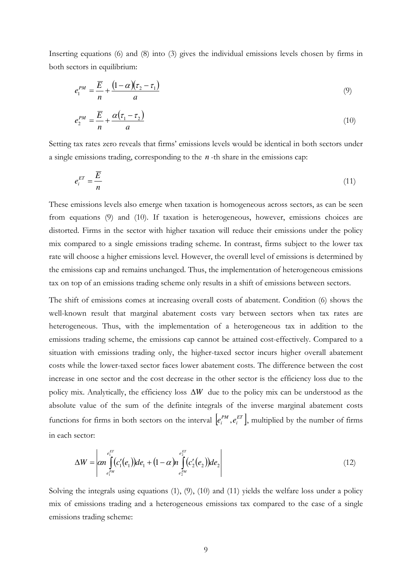Inserting equations (6) and (8) into (3) gives the individual emissions levels chosen by firms in both sectors in equilibrium:

$$
e_1^{PM} = \frac{\overline{E}}{n} + \frac{\left(1 - \alpha\right)\left(\tau_2 - \tau_1\right)}{a} \tag{9}
$$

$$
e_2^{PM} = \frac{\overline{E}}{n} + \frac{\alpha(\tau_1 - \tau_2)}{a} \tag{10}
$$

Setting tax rates zero reveals that firms' emissions levels would be identical in both sectors under a single emissions trading, corresponding to the *n* -th share in the emissions cap:

$$
e_i^{ET} = \frac{\overline{E}}{n} \tag{11}
$$

These emissions levels also emerge when taxation is homogeneous across sectors, as can be seen from equations (9) and (10). If taxation is heterogeneous, however, emissions choices are distorted. Firms in the sector with higher taxation will reduce their emissions under the policy mix compared to a single emissions trading scheme. In contrast, firms subject to the lower tax rate will choose a higher emissions level. However, the overall level of emissions is determined by the emissions cap and remains unchanged. Thus, the implementation of heterogeneous emissions tax on top of an emissions trading scheme only results in a shift of emissions between sectors.

The shift of emissions comes at increasing overall costs of abatement. Condition (6) shows the well-known result that marginal abatement costs vary between sectors when tax rates are heterogeneous. Thus, with the implementation of a heterogeneous tax in addition to the emissions trading scheme, the emissions cap cannot be attained cost-effectively. Compared to a situation with emissions trading only, the higher-taxed sector incurs higher overall abatement costs while the lower-taxed sector faces lower abatement costs. The difference between the cost increase in one sector and the cost decrease in the other sector is the efficiency loss due to the policy mix. Analytically, the efficiency loss  $\Delta W$  due to the policy mix can be understood as the absolute value of the sum of the definite integrals of the inverse marginal abatement costs functions for firms in both sectors on the interval  $\left[ e_i^{PM}, e_i^{ET} \right]$ , *i PM*  $e_i^{PM}, e_i^{ET}$ , multiplied by the number of firms in each sector:

$$
\Delta W = \left| \alpha n \int_{e_1^{PM}}^{e_1^{ET}} (c_1'(e_1)) de_1 + (1 - \alpha) n \int_{e_2^{PM}}^{e_2^{ET}} (c_2'(e_2)) de_2 \right| \tag{12}
$$

Solving the integrals using equations (1), (9), (10) and (11) yields the welfare loss under a policy mix of emissions trading and a heterogeneous emissions tax compared to the case of a single emissions trading scheme: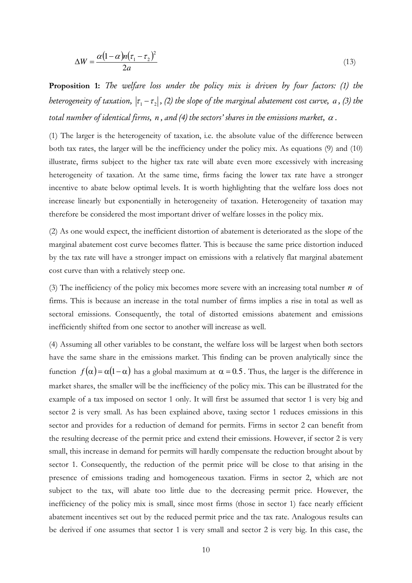$$
\Delta W = \frac{\alpha (1 - \alpha) n (\tau_1 - \tau_2)^2}{2a} \tag{13}
$$

**Proposition 1:** The welfare loss under the policy mix is driven by four factors: (1) the heterogeneity of taxation,  $|\tau_1 - \tau_2|$ , (2) the slope of the marginal abatement cost curve, a , (3) the total number of identical firms, *n* , and (4) the sectors' shares in the emissions market, <sup>α</sup> .

(1) The larger is the heterogeneity of taxation, i.e. the absolute value of the difference between both tax rates, the larger will be the inefficiency under the policy mix. As equations (9) and (10) illustrate, firms subject to the higher tax rate will abate even more excessively with increasing heterogeneity of taxation. At the same time, firms facing the lower tax rate have a stronger incentive to abate below optimal levels. It is worth highlighting that the welfare loss does not increase linearly but exponentially in heterogeneity of taxation. Heterogeneity of taxation may therefore be considered the most important driver of welfare losses in the policy mix.

(2) As one would expect, the inefficient distortion of abatement is deteriorated as the slope of the marginal abatement cost curve becomes flatter. This is because the same price distortion induced by the tax rate will have a stronger impact on emissions with a relatively flat marginal abatement cost curve than with a relatively steep one.

(3) The inefficiency of the policy mix becomes more severe with an increasing total number  $n$  of firms. This is because an increase in the total number of firms implies a rise in total as well as sectoral emissions. Consequently, the total of distorted emissions abatement and emissions inefficiently shifted from one sector to another will increase as well.

(4) Assuming all other variables to be constant, the welfare loss will be largest when both sectors have the same share in the emissions market. This finding can be proven analytically since the function  $f(\alpha) = \alpha(1-\alpha)$  has a global maximum at  $\alpha = 0.5$ . Thus, the larger is the difference in market shares, the smaller will be the inefficiency of the policy mix. This can be illustrated for the example of a tax imposed on sector 1 only. It will first be assumed that sector 1 is very big and sector 2 is very small. As has been explained above, taxing sector 1 reduces emissions in this sector and provides for a reduction of demand for permits. Firms in sector 2 can benefit from the resulting decrease of the permit price and extend their emissions. However, if sector 2 is very small, this increase in demand for permits will hardly compensate the reduction brought about by sector 1. Consequently, the reduction of the permit price will be close to that arising in the presence of emissions trading and homogeneous taxation. Firms in sector 2, which are not subject to the tax, will abate too little due to the decreasing permit price. However, the inefficiency of the policy mix is small, since most firms (those in sector 1) face nearly efficient abatement incentives set out by the reduced permit price and the tax rate. Analogous results can be derived if one assumes that sector 1 is very small and sector 2 is very big. In this case, the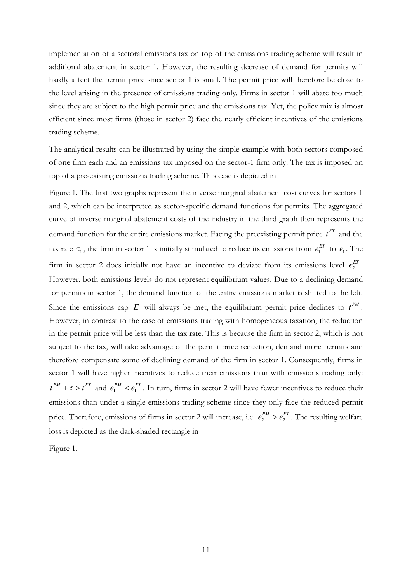implementation of a sectoral emissions tax on top of the emissions trading scheme will result in additional abatement in sector 1. However, the resulting decrease of demand for permits will hardly affect the permit price since sector 1 is small. The permit price will therefore be close to the level arising in the presence of emissions trading only. Firms in sector 1 will abate too much since they are subject to the high permit price and the emissions tax. Yet, the policy mix is almost efficient since most firms (those in sector 2) face the nearly efficient incentives of the emissions trading scheme.

The analytical results can be illustrated by using the simple example with both sectors composed of one firm each and an emissions tax imposed on the sector-1 firm only. The tax is imposed on top of a pre-existing emissions trading scheme. This case is depicted in

Figure 1[. The first two graphs represent the inverse marginal abatement cost curves for sectors 1](#page-13-0)  [and 2, which can be interpreted as sector-specific demand functions for permits. The aggregated](#page-13-0)  [curve of inverse marginal abatement costs of the industry in the third graph then represents the](#page-13-0)  [demand function for the entire emissions market. Facing the preexisting permit price](#page-13-0)  $t^{ET}$  $t^{ET}$  $t^{ET}$  and the [tax rate](#page-13-0)  $\tau_1$  $\tau_1$ [, the firm in sector 1 is initially stimulated to reduce its emissions from](#page-13-0)  $e_1^{ET}$  $e_1^{ET}$  $e_1^{ET}$  [to](#page-13-0)  $e_1$  $e_1$ . The [firm in sector 2 does initially not have an incentive to deviate from its emissions level](#page-13-0)  $e_2^{ET}$  $e_2^{ET}$  $e_2^{ET}$ . [However, both emissions levels do not represent equilibrium values. Due to a declining demand](#page-13-0)  [for permits in sector 1, the demand function of the entire emissions market is shifted to the left.](#page-13-0)  Since the emissions cap  $\overline{E}$  [will always be met, the equilibrium permit price declines to](#page-13-0)  $t^{PM}$  $t^{PM}$  $t^{PM}$ . [However, in contrast to the case of emissions trading with homogeneous taxation, the reduction](#page-13-0)  [in the permit price will be less than the tax rate. This is because the firm in sector 2, which is not](#page-13-0)  [subject to the tax, will take advantage of the permit price reduction, demand more permits and](#page-13-0)  [therefore compensate some of declining demand of the firm in sector 1. Consequently, firms in](#page-13-0)  [sector 1 will have higher incentives to reduce their emissions than with emissions trading only:](#page-13-0)   $t^{PM} + \tau > t^{ET}$  and  $e_1^{PM} < e_1^{ET}$ . In turn, firms in sector 2 will have fewer incentives to reduce their [emissions than under a single emissions trading scheme since they only face the reduced permit](#page-13-0)  price. Therefore, emissions of firms in sector 2 will increase, i.e.  $e_2^{PM} > e_2^{ET}$ . The resulting welfare [loss is depicted as the dark-shaded rectangle in](#page-13-0) 

Figure 1.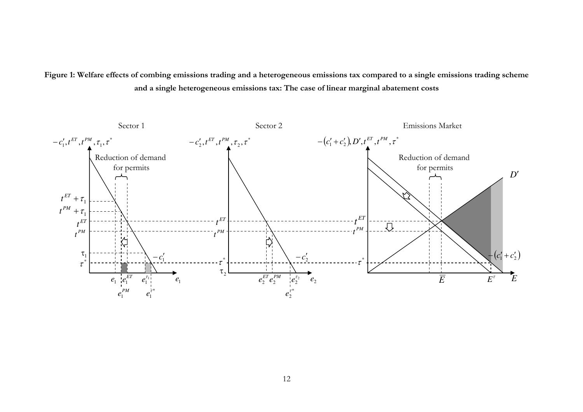### **Figure 1: Welfare effects of combing emissions trading and a heterogeneous emissions tax compared to a single emissions trading scheme and a single heterogeneous emissions tax: The case of linear marginal abatement costs**

<span id="page-13-0"></span>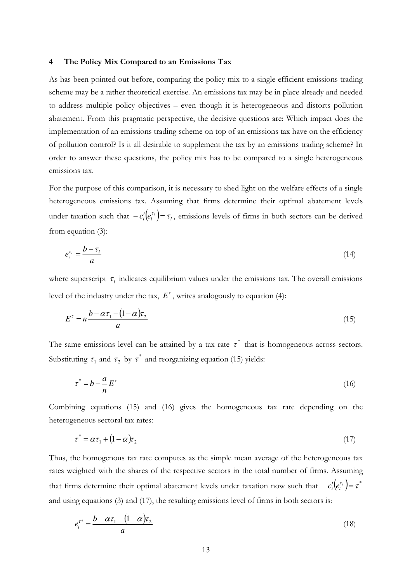#### **4 The Policy Mix Compared to an Emissions Tax**

As has been pointed out before, comparing the policy mix to a single efficient emissions trading scheme may be a rather theoretical exercise. An emissions tax may be in place already and needed to address multiple policy objectives – even though it is heterogeneous and distorts pollution abatement. From this pragmatic perspective, the decisive questions are: Which impact does the implementation of an emissions trading scheme on top of an emissions tax have on the efficiency of pollution control? Is it all desirable to supplement the tax by an emissions trading scheme? In order to answer these questions, the policy mix has to be compared to a single heterogeneous emissions tax.

For the purpose of this comparison, it is necessary to shed light on the welfare effects of a single heterogeneous emissions tax. Assuming that firms determine their optimal abatement levels under taxation such that  $-c'_i \left( e_i^{\tau_i} \right) = \tau_i$ , emissions levels of firms in both sectors can be derived from equation (3):

$$
e_i^{\tau_i} = \frac{b - \tau_i}{a} \tag{14}
$$

where superscript  $\tau$ <sub>i</sub> indicates equilibrium values under the emissions tax. The overall emissions level of the industry under the tax,  $E^{\tau}$ , writes analogously to equation (4):

$$
E^{\tau} = n \frac{b - \alpha \tau_1 - (1 - \alpha)\tau_2}{a} \tag{15}
$$

The same emissions level can be attained by a tax rate  $\tau^*$  that is homogeneous across sectors. Substituting  $\tau_1$  and  $\tau_2$  by  $\tau^*$  and reorganizing equation (15) yields:

$$
\tau^* = b - \frac{a}{n} E^{\tau} \tag{16}
$$

Combining equations (15) and (16) gives the homogeneous tax rate depending on the heterogeneous sectoral tax rates:

$$
\tau^* = \alpha \tau_1 + (1 - \alpha)\tau_2 \tag{17}
$$

Thus, the homogenous tax rate computes as the simple mean average of the heterogeneous tax rates weighted with the shares of the respective sectors in the total number of firms. Assuming that firms determine their optimal abatement levels under taxation now such that  $-c_i^{\prime}(e_i^{\tau_i}) = \tau^*$ and using equations (3) and (17), the resulting emissions level of firms in both sectors is:

$$
e_i^{\tau^*} = \frac{b - \alpha \tau_1 - (1 - \alpha)\tau_2}{a} \tag{18}
$$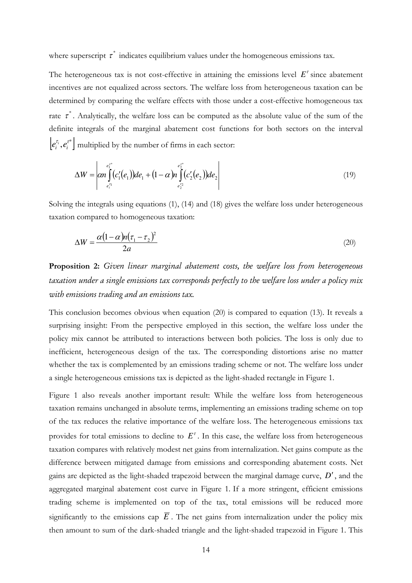where superscript  $\tau^*$  indicates equilibrium values under the homogeneous emissions tax.

The heterogeneous tax is not cost-effective in attaining the emissions level  $E^{\tau}$  since abatement incentives are not equalized across sectors. The welfare loss from heterogeneous taxation can be determined by comparing the welfare effects with those under a cost-effective homogeneous tax rate  $\tau^*$ . Analytically, the welfare loss can be computed as the absolute value of the sum of the definite integrals of the marginal abatement cost functions for both sectors on the interval  $\left| e_i^{\tau_i},e_i^{\tau^*} \right|$  $e_i^{\tau_i}$ ,  $e_i^{\tau^*}$  multiplied by the number of firms in each sector:

$$
\Delta W = \left| \alpha m \int_{e_1^{r_1}}^{e_1^{r}} (c_1'(e_1)) de_1 + (1 - \alpha) m \int_{e_2^{r_2}}^{e_2^{r}} (c_2'(e_2)) de_2 \right| \tag{19}
$$

Solving the integrals using equations (1), (14) and (18) gives the welfare loss under heterogeneous taxation compared to homogeneous taxation:

$$
\Delta W = \frac{\alpha (1 - \alpha) n (\tau_1 - \tau_2)^2}{2a} \tag{20}
$$

**Proposition 2:** Given linear marginal abatement costs, the welfare loss from heterogeneous taxation under a single emissions tax corresponds perfectly to the welfare loss under a policy mix with emissions trading and an emissions tax.

This conclusion becomes obvious when equation (20) is compared to equation (13). It reveals a surprising insight: From the perspective employed in this section, the welfare loss under the policy mix cannot be attributed to interactions between both policies. The loss is only due to inefficient, heterogeneous design of the tax. The corresponding distortions arise no matter whether the tax is complemented by an emissions trading scheme or not. The welfare loss under a single heterogeneous emissions tax is depicted as the light-shaded rectangle in Figure 1.

Figure 1 also reveals another important result: While the welfare loss from heterogeneous taxation remains unchanged in absolute terms, implementing an emissions trading scheme on top of the tax reduces the relative importance of the welfare loss. The heterogeneous emissions tax provides for total emissions to decline to  $E^{\tau}$ . In this case, the welfare loss from heterogeneous taxation compares with relatively modest net gains from internalization. Net gains compute as the difference between mitigated damage from emissions and corresponding abatement costs. Net gains are depicted as the light-shaded trapezoid between the marginal damage curve, *D*′ , and the aggregated marginal abatement cost curve in Figure 1. If a more stringent, efficient emissions trading scheme is implemented on top of the tax, total emissions will be reduced more significantly to the emissions cap  $\overline{E}$ . The net gains from internalization under the policy mix then amount to sum of the dark-shaded triangle and the light-shaded trapezoid in Figure 1. This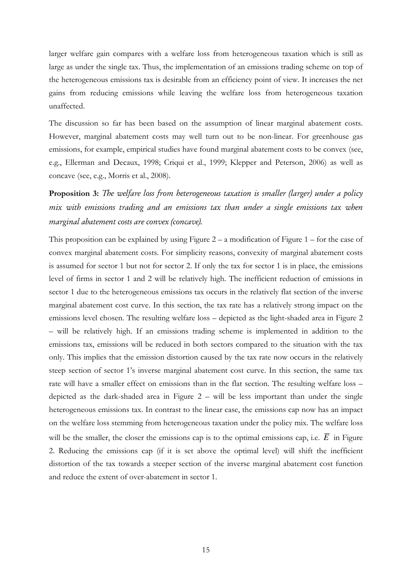larger welfare gain compares with a welfare loss from heterogeneous taxation which is still as large as under the single tax. Thus, the implementation of an emissions trading scheme on top of the heterogeneous emissions tax is desirable from an efficiency point of view. It increases the net gains from reducing emissions while leaving the welfare loss from heterogeneous taxation unaffected.

The discussion so far has been based on the assumption of linear marginal abatement costs. However, marginal abatement costs may well turn out to be non-linear. For greenhouse gas emissions, for example, empirical studies have found marginal abatement costs to be convex (see, e.g., Ellerman and Decaux, 1998; Criqui et al., 1999; Klepper and Peterson, 2006) as well as concave (see, e.g., Morris et al., 2008).

**Proposition 3:** The welfare loss from heterogeneous taxation is smaller (larger) under a policy mix with emissions trading and an emissions tax than under a single emissions tax when marginal abatement costs are convex (concave).

This proposition can be explained by using Figure 2 – a modification of Figure 1 – for the case of convex marginal abatement costs. For simplicity reasons, convexity of marginal abatement costs is assumed for sector 1 but not for sector 2. If only the tax for sector 1 is in place, the emissions level of firms in sector 1 and 2 will be relatively high. The inefficient reduction of emissions in sector 1 due to the heterogeneous emissions tax occurs in the relatively flat section of the inverse marginal abatement cost curve. In this section, the tax rate has a relatively strong impact on the emissions level chosen. The resulting welfare loss – depicted as the light-shaded area in Figure 2 – will be relatively high. If an emissions trading scheme is implemented in addition to the emissions tax, emissions will be reduced in both sectors compared to the situation with the tax only. This implies that the emission distortion caused by the tax rate now occurs in the relatively steep section of sector 1's inverse marginal abatement cost curve. In this section, the same tax rate will have a smaller effect on emissions than in the flat section. The resulting welfare loss – depicted as the dark-shaded area in Figure 2 – will be less important than under the single heterogeneous emissions tax. In contrast to the linear case, the emissions cap now has an impact on the welfare loss stemming from heterogeneous taxation under the policy mix. The welfare loss will be the smaller, the closer the emissions cap is to the optimal emissions cap, i.e.  $\overline{E}$  in Figure 2. Reducing the emissions cap (if it is set above the optimal level) will shift the inefficient distortion of the tax towards a steeper section of the inverse marginal abatement cost function and reduce the extent of over-abatement in sector 1.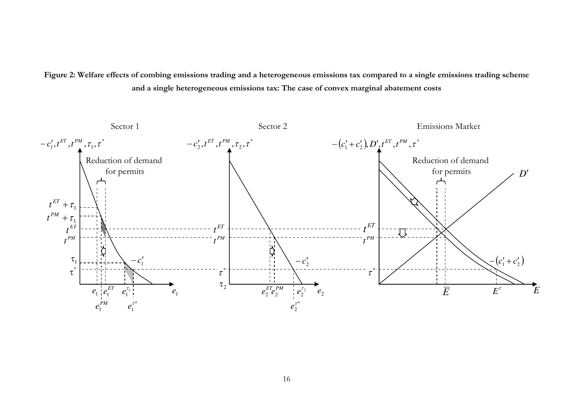### **Figure 2: Welfare effects of combing emissions trading and a heterogeneous emissions tax compared to a single emissions trading scheme and a single heterogeneous emissions tax: The case of convex marginal abatement costs**

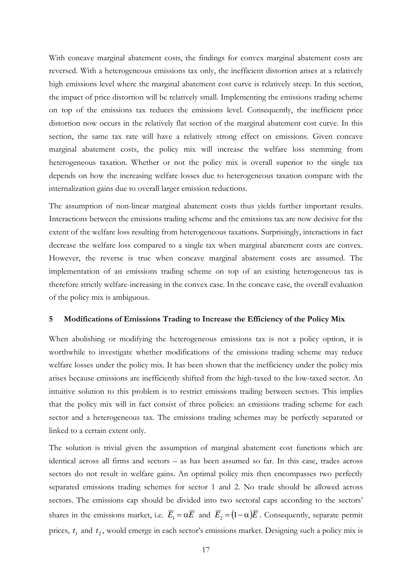With concave marginal abatement costs, the findings for convex marginal abatement costs are reversed. With a heterogeneous emissions tax only, the inefficient distortion arises at a relatively high emissions level where the marginal abatement cost curve is relatively steep. In this section, the impact of price distortion will be relatively small. Implementing the emissions trading scheme on top of the emissions tax reduces the emissions level. Consequently, the inefficient price distortion now occurs in the relatively flat section of the marginal abatement cost curve. In this section, the same tax rate will have a relatively strong effect on emissions. Given concave marginal abatement costs, the policy mix will increase the welfare loss stemming from heterogeneous taxation. Whether or not the policy mix is overall superior to the single tax depends on how the increasing welfare losses due to heterogeneous taxation compare with the internalization gains due to overall larger emission reductions.

The assumption of non-linear marginal abatement costs thus yields further important results. Interactions between the emissions trading scheme and the emissions tax are now decisive for the extent of the welfare loss resulting from heterogeneous taxations. Surprisingly, interactions in fact decrease the welfare loss compared to a single tax when marginal abatement costs are convex. However, the reverse is true when concave marginal abatement costs are assumed. The implementation of an emissions trading scheme on top of an existing heterogeneous tax is therefore strictly welfare-increasing in the convex case. In the concave case, the overall evaluation of the policy mix is ambiguous.

#### **5 Modifications of Emissions Trading to Increase the Efficiency of the Policy Mix**

When abolishing or modifying the heterogeneous emissions tax is not a policy option, it is worthwhile to investigate whether modifications of the emissions trading scheme may reduce welfare losses under the policy mix. It has been shown that the inefficiency under the policy mix arises because emissions are inefficiently shifted from the high-taxed to the low-taxed sector. An intuitive solution to this problem is to restrict emissions trading between sectors. This implies that the policy mix will in fact consist of three policies: an emissions trading scheme for each sector and a heterogeneous tax. The emissions trading schemes may be perfectly separated or linked to a certain extent only.

The solution is trivial given the assumption of marginal abatement cost functions which are identical across all firms and sectors – as has been assumed so far. In this case, trades across sectors do not result in welfare gains. An optimal policy mix then encompasses two perfectly separated emissions trading schemes for sector 1 and 2. No trade should be allowed across sectors. The emissions cap should be divided into two sectoral caps according to the sectors' shares in the emissions market, i.e.  $\overline{E}_1 = \alpha \overline{E}$  and  $\overline{E}_2 = (1 - \alpha)\overline{E}$ . Consequently, separate permit prices,  $t_1$  and  $t_2$ , would emerge in each sector's emissions market. Designing such a policy mix is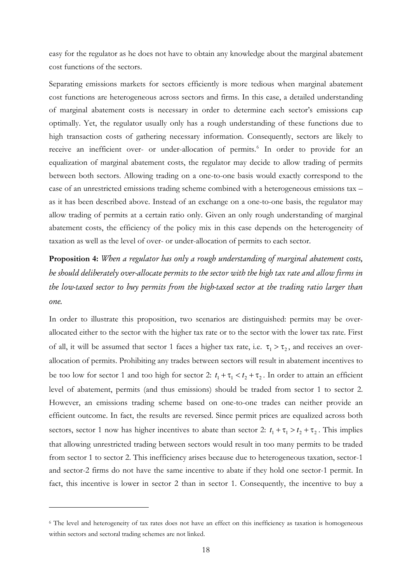easy for the regulator as he does not have to obtain any knowledge about the marginal abatement cost functions of the sectors.

Separating emissions markets for sectors efficiently is more tedious when marginal abatement cost functions are heterogeneous across sectors and firms. In this case, a detailed understanding of marginal abatement costs is necessary in order to determine each sector's emissions cap optimally. Yet, the regulator usually only has a rough understanding of these functions due to high transaction costs of gathering necessary information. Consequently, sectors are likely to receive an inefficient over- or under-allocation of permits.<sup>6</sup> In order to provide for an equalization of marginal abatement costs, the regulator may decide to allow trading of permits between both sectors. Allowing trading on a one-to-one basis would exactly correspond to the case of an unrestricted emissions trading scheme combined with a heterogeneous emissions tax – as it has been described above. Instead of an exchange on a one-to-one basis, the regulator may allow trading of permits at a certain ratio only. Given an only rough understanding of marginal abatement costs, the efficiency of the policy mix in this case depends on the heterogeneity of taxation as well as the level of over- or under-allocation of permits to each sector.

**Proposition 4:** When a regulator has only a rough understanding of marginal abatement costs, he should deliberately over-allocate permits to the sector with the high tax rate and allow firms in the low-taxed sector to buy permits from the high-taxed sector at the trading ratio larger than one.

In order to illustrate this proposition, two scenarios are distinguished: permits may be overallocated either to the sector with the higher tax rate or to the sector with the lower tax rate. First of all, it will be assumed that sector 1 faces a higher tax rate, i.e.  $\tau_1 > \tau_2$ , and receives an overallocation of permits. Prohibiting any trades between sectors will result in abatement incentives to be too low for sector 1 and too high for sector 2:  $t_1 + \tau_1 < t_2 + \tau_2$ . In order to attain an efficient level of abatement, permits (and thus emissions) should be traded from sector 1 to sector 2. However, an emissions trading scheme based on one-to-one trades can neither provide an efficient outcome. In fact, the results are reversed. Since permit prices are equalized across both sectors, sector 1 now has higher incentives to abate than sector 2:  $t_1 + \tau_1 > t_2 + \tau_2$ . This implies that allowing unrestricted trading between sectors would result in too many permits to be traded from sector 1 to sector 2. This inefficiency arises because due to heterogeneous taxation, sector-1 and sector-2 firms do not have the same incentive to abate if they hold one sector-1 permit. In fact, this incentive is lower in sector 2 than in sector 1. Consequently, the incentive to buy a

-

<sup>6</sup> The level and heterogeneity of tax rates does not have an effect on this inefficiency as taxation is homogeneous within sectors and sectoral trading schemes are not linked.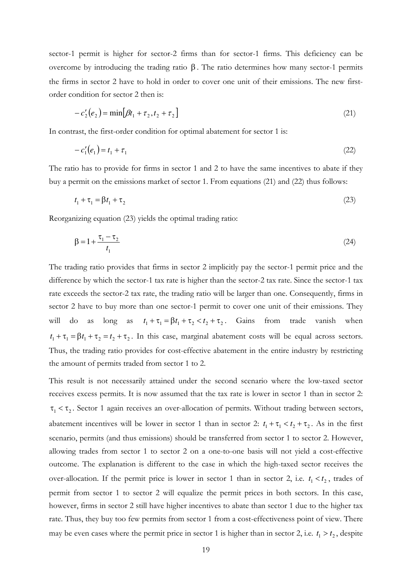sector-1 permit is higher for sector-2 firms than for sector-1 firms. This deficiency can be overcome by introducing the trading ratio β . The ratio determines how many sector-1 permits the firms in sector 2 have to hold in order to cover one unit of their emissions. The new firstorder condition for sector 2 then is:

$$
-c'_{2}(e_{2}) = \min[\beta t_{1} + \tau_{2}, t_{2} + \tau_{2}]
$$
\n(21)

In contrast, the first-order condition for optimal abatement for sector 1 is:

$$
-c_1'(e_1) = t_1 + \tau_1 \tag{22}
$$

The ratio has to provide for firms in sector 1 and 2 to have the same incentives to abate if they buy a permit on the emissions market of sector 1. From equations (21) and (22) thus follows:

$$
t_1 + \tau_1 = \beta t_1 + \tau_2 \tag{23}
$$

Reorganizing equation (23) yields the optimal trading ratio:

$$
\beta = 1 + \frac{\tau_1 - \tau_2}{t_1} \tag{24}
$$

The trading ratio provides that firms in sector 2 implicitly pay the sector-1 permit price and the difference by which the sector-1 tax rate is higher than the sector-2 tax rate. Since the sector-1 tax rate exceeds the sector-2 tax rate, the trading ratio will be larger than one. Consequently, firms in sector 2 have to buy more than one sector-1 permit to cover one unit of their emissions. They will do as long as  $t_1 + \tau_1 = \beta t_1 + \tau_2 < t_2 + \tau_2$ . Gains from trade vanish when  $t_1 + \tau_1 = \beta t_1 + \tau_2 = t_2 + \tau_2$ . In this case, marginal abatement costs will be equal across sectors. Thus, the trading ratio provides for cost-effective abatement in the entire industry by restricting the amount of permits traded from sector 1 to 2.

This result is not necessarily attained under the second scenario where the low-taxed sector receives excess permits. It is now assumed that the tax rate is lower in sector 1 than in sector 2:  $\tau_1 < \tau_2$ . Sector 1 again receives an over-allocation of permits. Without trading between sectors, abatement incentives will be lower in sector 1 than in sector 2:  $t_1 + \tau_1 < t_2 + \tau_2$ . As in the first over-allocation. If the permit price is lower in sector 1 than in sector 2, i.e.  $t_1 < t_2$ , trades of scenario, permits (and thus emissions) should be transferred from sector 1 to sector 2. However, allowing trades from sector 1 to sector 2 on a one-to-one basis will not yield a cost-effective outcome. The explanation is different to the case in which the high-taxed sector receives the permit from sector 1 to sector 2 will equalize the permit prices in both sectors. In this case, however, firms in sector 2 still have higher incentives to abate than sector 1 due to the higher tax rate. Thus, they buy too few permits from sector 1 from a cost-effectiveness point of view. There may be even cases where the permit price in sector 1 is higher than in sector 2, i.e.  $t_1 > t_2$ , despite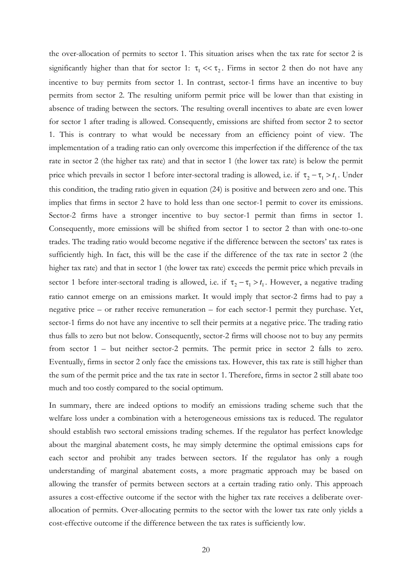the over-allocation of permits to sector 1. This situation arises when the tax rate for sector 2 is significantly higher than that for sector 1:  $\tau_1 \ll \tau_2$ . Firms in sector 2 then do not have any incentive to buy permits from sector 1. In contrast, sector-1 firms have an incentive to buy permits from sector 2. The resulting uniform permit price will be lower than that existing in absence of trading between the sectors. The resulting overall incentives to abate are even lower for sector 1 after trading is allowed. Consequently, emissions are shifted from sector 2 to sector 1. This is contrary to what would be necessary from an efficiency point of view. The implementation of a trading ratio can only overcome this imperfection if the difference of the tax rate in sector 2 (the higher tax rate) and that in sector 1 (the lower tax rate) is below the permit price which prevails in sector 1 before inter-sectoral trading is allowed, i.e. if  $\tau_2 - \tau_1 > t_1$ . Under this condition, the trading ratio given in equation (24) is positive and between zero and one. This implies that firms in sector 2 have to hold less than one sector-1 permit to cover its emissions. Sector-2 firms have a stronger incentive to buy sector-1 permit than firms in sector 1. Consequently, more emissions will be shifted from sector 1 to sector 2 than with one-to-one trades. The trading ratio would become negative if the difference between the sectors' tax rates is sufficiently high. In fact, this will be the case if the difference of the tax rate in sector 2 (the higher tax rate) and that in sector 1 (the lower tax rate) exceeds the permit price which prevails in sector 1 before inter-sectoral trading is allowed, i.e. if  $\tau_2 - \tau_1 > t_1$ . However, a negative trading ratio cannot emerge on an emissions market. It would imply that sector-2 firms had to pay a negative price – or rather receive remuneration – for each sector-1 permit they purchase. Yet, sector-1 firms do not have any incentive to sell their permits at a negative price. The trading ratio thus falls to zero but not below. Consequently, sector-2 firms will choose not to buy any permits from sector 1 – but neither sector-2 permits. The permit price in sector 2 falls to zero. Eventually, firms in sector 2 only face the emissions tax. However, this tax rate is still higher than the sum of the permit price and the tax rate in sector 1. Therefore, firms in sector 2 still abate too much and too costly compared to the social optimum.

In summary, there are indeed options to modify an emissions trading scheme such that the welfare loss under a combination with a heterogeneous emissions tax is reduced. The regulator should establish two sectoral emissions trading schemes. If the regulator has perfect knowledge about the marginal abatement costs, he may simply determine the optimal emissions caps for each sector and prohibit any trades between sectors. If the regulator has only a rough understanding of marginal abatement costs, a more pragmatic approach may be based on allowing the transfer of permits between sectors at a certain trading ratio only. This approach assures a cost-effective outcome if the sector with the higher tax rate receives a deliberate overallocation of permits. Over-allocating permits to the sector with the lower tax rate only yields a cost-effective outcome if the difference between the tax rates is sufficiently low.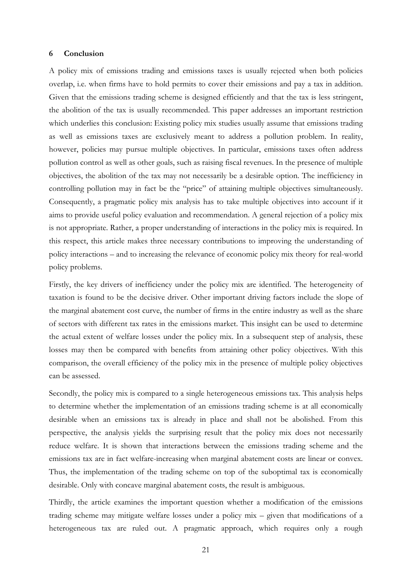#### **6 Conclusion**

A policy mix of emissions trading and emissions taxes is usually rejected when both policies overlap, i.e. when firms have to hold permits to cover their emissions and pay a tax in addition. Given that the emissions trading scheme is designed efficiently and that the tax is less stringent, the abolition of the tax is usually recommended. This paper addresses an important restriction which underlies this conclusion: Existing policy mix studies usually assume that emissions trading as well as emissions taxes are exclusively meant to address a pollution problem. In reality, however, policies may pursue multiple objectives. In particular, emissions taxes often address pollution control as well as other goals, such as raising fiscal revenues. In the presence of multiple objectives, the abolition of the tax may not necessarily be a desirable option. The inefficiency in controlling pollution may in fact be the "price" of attaining multiple objectives simultaneously. Consequently, a pragmatic policy mix analysis has to take multiple objectives into account if it aims to provide useful policy evaluation and recommendation. A general rejection of a policy mix is not appropriate. Rather, a proper understanding of interactions in the policy mix is required. In this respect, this article makes three necessary contributions to improving the understanding of policy interactions – and to increasing the relevance of economic policy mix theory for real-world policy problems.

Firstly, the key drivers of inefficiency under the policy mix are identified. The heterogeneity of taxation is found to be the decisive driver. Other important driving factors include the slope of the marginal abatement cost curve, the number of firms in the entire industry as well as the share of sectors with different tax rates in the emissions market. This insight can be used to determine the actual extent of welfare losses under the policy mix. In a subsequent step of analysis, these losses may then be compared with benefits from attaining other policy objectives. With this comparison, the overall efficiency of the policy mix in the presence of multiple policy objectives can be assessed.

Secondly, the policy mix is compared to a single heterogeneous emissions tax. This analysis helps to determine whether the implementation of an emissions trading scheme is at all economically desirable when an emissions tax is already in place and shall not be abolished. From this perspective, the analysis yields the surprising result that the policy mix does not necessarily reduce welfare. It is shown that interactions between the emissions trading scheme and the emissions tax are in fact welfare-increasing when marginal abatement costs are linear or convex. Thus, the implementation of the trading scheme on top of the suboptimal tax is economically desirable. Only with concave marginal abatement costs, the result is ambiguous.

Thirdly, the article examines the important question whether a modification of the emissions trading scheme may mitigate welfare losses under a policy mix – given that modifications of a heterogeneous tax are ruled out. A pragmatic approach, which requires only a rough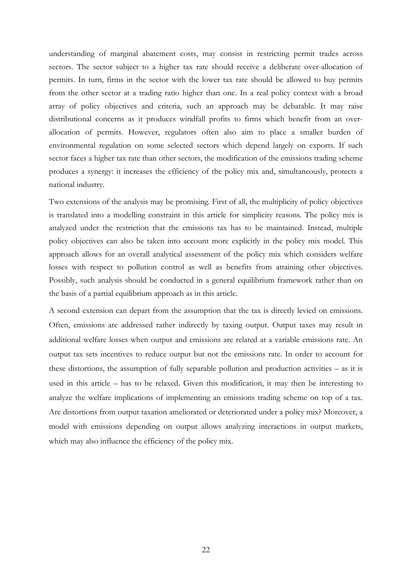understanding of marginal abatement costs, may consist in restricting permit trades across sectors. The sector subject to a higher tax rate should receive a deliberate over-allocation of permits. In turn, firms in the sector with the lower tax rate should be allowed to buy permits from the other sector at a trading ratio higher than one. In a real policy context with a broad array of policy objectives and criteria, such an approach may be debatable. It may raise distributional concerns as it produces windfall profits to firms which benefit from an overallocation of permits. However, regulators often also aim to place a smaller burden of environmental regulation on some selected sectors which depend largely on exports. If such sector faces a higher tax rate than other sectors, the modification of the emissions trading scheme produces a synergy: it increases the efficiency of the policy mix and, simultaneously, protects a national industry.

Two extensions of the analysis may be promising. First of all, the multiplicity of policy objectives is translated into a modelling constraint in this article for simplicity reasons. The policy mix is analyzed under the restriction that the emissions tax has to be maintained. Instead, multiple policy objectives can also be taken into account more explicitly in the policy mix model. This approach allows for an overall analytical assessment of the policy mix which considers welfare losses with respect to pollution control as well as benefits from attaining other objectives. Possibly, such analysis should be conducted in a general equilibrium framework rather than on the basis of a partial equilibrium approach as in this article.

A second extension can depart from the assumption that the tax is directly levied on emissions. Often, emissions are addressed rather indirectly by taxing output. Output taxes may result in additional welfare losses when output and emissions are related at a variable emissions rate. An output tax sets incentives to reduce output but not the emissions rate. In order to account for these distortions, the assumption of fully separable pollution and production activities – as it is used in this article – has to be relaxed. Given this modification, it may then be interesting to analyze the welfare implications of implementing an emissions trading scheme on top of a tax. Are distortions from output taxation ameliorated or deteriorated under a policy mix? Moreover, a model with emissions depending on output allows analyzing interactions in output markets, which may also influence the efficiency of the policy mix.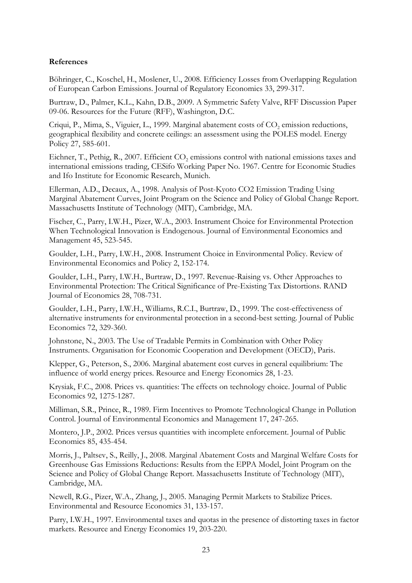#### **References**

Böhringer, C., Koschel, H., Moslener, U., 2008. Efficiency Losses from Overlapping Regulation of European Carbon Emissions. Journal of Regulatory Economics 33, 299-317.

Burtraw, D., Palmer, K.L., Kahn, D.B., 2009. A Symmetric Safety Valve, RFF Discussion Paper 09-06. Resources for the Future (RFF), Washington, D.C.

Criqui, P., Mima, S., Viguier, L., 1999. Marginal abatement costs of  $CO_2$  emission reductions, geographical flexibility and concrete ceilings: an assessment using the POLES model. Energy Policy 27, 585-601.

Eichner, T., Pethig, R., 2007. Efficient  $CO_2$  emissions control with national emissions taxes and international emissions trading, CESifo Working Paper No. 1967. Centre for Economic Studies and Ifo Institute for Economic Research, Munich.

Ellerman, A.D., Decaux, A., 1998. Analysis of Post-Kyoto CO2 Emission Trading Using Marginal Abatement Curves, Joint Program on the Science and Policy of Global Change Report. Massachusetts Institute of Technology (MIT), Cambridge, MA.

Fischer, C., Parry, I.W.H., Pizer, W.A., 2003. Instrument Choice for Environmental Protection When Technological Innovation is Endogenous. Journal of Environmental Economics and Management 45, 523-545.

Goulder, L.H., Parry, I.W.H., 2008. Instrument Choice in Environmental Policy. Review of Environmental Economics and Policy 2, 152-174.

Goulder, L.H., Parry, I.W.H., Burtraw, D., 1997. Revenue-Raising vs. Other Approaches to Environmental Protection: The Critical Significance of Pre-Existing Tax Distortions. RAND Journal of Economics 28, 708-731.

Goulder, L.H., Parry, I.W.H., Williams, R.C.I., Burtraw, D., 1999. The cost-effectiveness of alternative instruments for environmental protection in a second-best setting. Journal of Public Economics 72, 329-360.

Johnstone, N., 2003. The Use of Tradable Permits in Combination with Other Policy Instruments. Organisation for Economic Cooperation and Development (OECD), Paris.

Klepper, G., Peterson, S., 2006. Marginal abatement cost curves in general equilibrium: The influence of world energy prices. Resource and Energy Economics 28, 1-23.

Krysiak, F.C., 2008. Prices vs. quantities: The effects on technology choice. Journal of Public Economics 92, 1275-1287.

Milliman, S.R., Prince, R., 1989. Firm Incentives to Promote Technological Change in Pollution Control. Journal of Environmental Economics and Management 17, 247-265.

Montero, J.P., 2002. Prices versus quantities with incomplete enforcement. Journal of Public Economics 85, 435-454.

Morris, J., Paltsev, S., Reilly, J., 2008. Marginal Abatement Costs and Marginal Welfare Costs for Greenhouse Gas Emissions Reductions: Results from the EPPA Model, Joint Program on the Science and Policy of Global Change Report. Massachusetts Institute of Technology (MIT), Cambridge, MA.

Newell, R.G., Pizer, W.A., Zhang, J., 2005. Managing Permit Markets to Stabilize Prices. Environmental and Resource Economics 31, 133-157.

Parry, I.W.H., 1997. Environmental taxes and quotas in the presence of distorting taxes in factor markets. Resource and Energy Economics 19, 203-220.